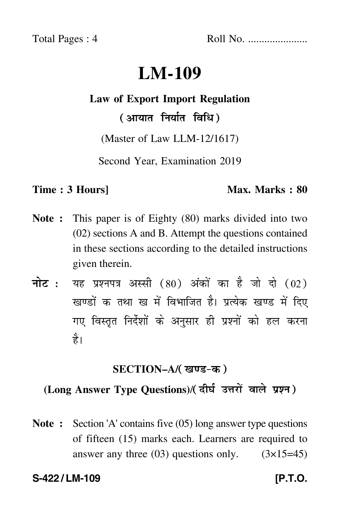Total Pages : 4 Roll No. ......................

# **LM-109**

## **Law of Export Import Regulation**

( आयात निर्यात विधि )

(Master of Law LLM-12/1617)

Second Year, Examination 2019

#### **Time : 3 Hours]** Max. Marks : 80

- **Note :** This paper is of Eighty (80) marks divided into two (02) sections A and B. Attempt the questions contained in these sections according to the detailed instructions given therein.
- नोट : यह प्रश्नपत्र अस्सी (80) अंकों का है जो दो (02) खण्डों क तथा ख में विभाजित है। प्रत्येक खण्ड में दिए गए विस्तृत निर्देशों के अनुसार ही प्रश्नों को हल करन<mark>ा</mark> है।

### **SECTION–A/**

## **(Long Answer Type Questions)**/

**Note :** Section 'A' contains five (05) long answer type questions of fifteen (15) marks each. Learners are required to answer any three  $(03)$  questions only.  $(3\times15=45)$ 

**S-422 / LM-109** *IP.T.O.*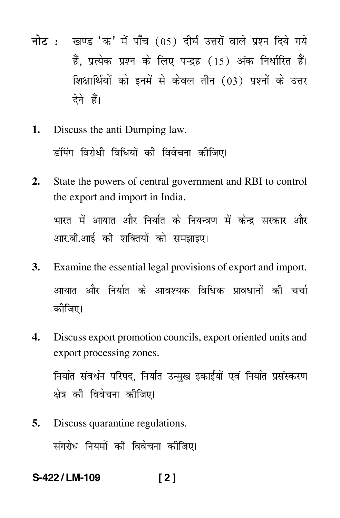- नोट : खण्ड 'क' में पाँच (05) दीर्घ उत्तरों वाले प्रश्न दिये गये हैं. प्रत्येक प्रश्न के लिए पन्द्रह (15) अंक निर्धारित हैं। शिक्षार्थियों को इनमें से केवल तीन (03) प्रश्नों के उत्तर देने हैं।
- Discuss the anti Dumping law. 1. डंपिंग विरोधी विधियों की विवेचना कीजिए।
- State the powers of central government and RBI to control  $2.$ the export and import in India. भारत में आयात और निर्यात के नियन्त्रण में केन्द्र सरकार और आर.बी.आई की शक्तियों को समझाइए।
- **3.** Examine the essential legal provisions of export and import. आयात और निर्यात के आवश्यक विधिक प्रावधानों की चर्चा कीजिए।
- $\overline{4}$ . Discuss export promotion councils, export oriented units and export processing zones.

निर्यात संवर्धन परिषद, निर्यात उन्मुख इकाईयों एवं निर्यात प्रसंस्करण क्षेत्र की विवेचना कीजिए।

Discuss quarantine regulations. 5.

संगरोध नियमों की विवेचना कीजिए।

S-422/LM-109  $121$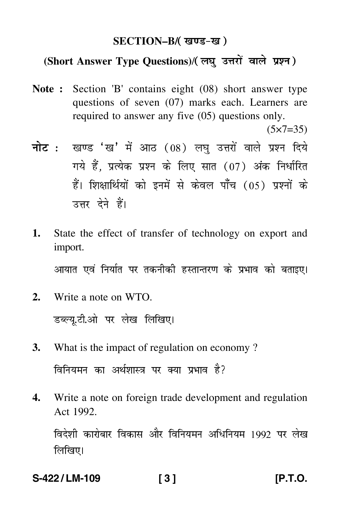### **SECTION–B/**

## **(Short Answer Type Questions)**/

**Note :** Section 'B' contains eight (08) short answer type questions of seven (07) marks each. Learners are required to answer any five (05) questions only.

 $(5 \times 7 = 35)$ 

- <mark>नोट</mark> : खण्ड 'ख' में आठ (08) लघु उत्तरों वाले प्रश्न दिये गये हैं, प्रत्येक प्रश्न के लिए सात (07) अंक निर्धारित हैं। शिक्षार्थियों को इनमें से केवल पाँच (05) प्रश्नों के उत्तर देने हैं।
- **1.** State the effect of transfer of technology on export and import.

आयात एवं निर्यात पर तकनीकी हस्तान्तरण के प्रभाव को बताइए।

- **2.** Write a note on WTO. डब्ल्यू.टी.ओ पर लेख लिखिए।
- **3.** What is the impact of regulation on economy ? विनियमन का अर्थशास्त्र पर क्या प्रभाव है?
- **4.** Write a note on foreign trade development and regulation Act 1992.

विदेशी कारोबार विकास और विनियमन अधिनियम 1992 पर लेख लिखिए।

**S-422 / LM-109 [ 3 ] [P.T.O.**